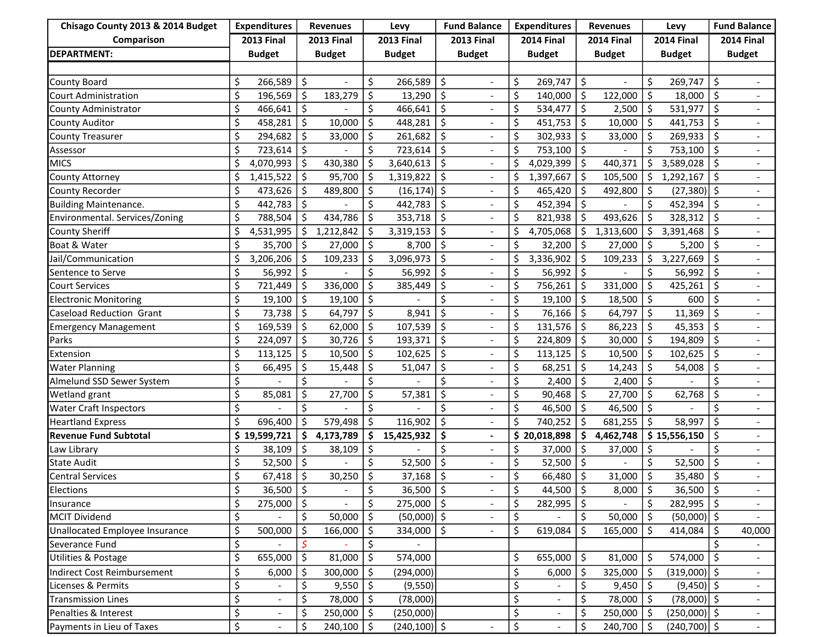| Chisago County 2013 & 2014 Budget | <b>Expenditures</b> |                          | <b>Revenues</b>     |               | Levy              |                 | <b>Fund Balance</b> |                          | <b>Expenditures</b> |                          | <b>Revenues</b>   |               | Levy              |                        | <b>Fund Balance</b> |                          |
|-----------------------------------|---------------------|--------------------------|---------------------|---------------|-------------------|-----------------|---------------------|--------------------------|---------------------|--------------------------|-------------------|---------------|-------------------|------------------------|---------------------|--------------------------|
| Comparison                        | <b>2013 Final</b>   |                          | <b>2013 Final</b>   |               | <b>2013 Final</b> |                 | <b>2013 Final</b>   |                          | <b>2014 Final</b>   |                          | <b>2014 Final</b> |               | <b>2014 Final</b> |                        | <b>2014 Final</b>   |                          |
| <b>DEPARTMENT:</b>                |                     | <b>Budget</b>            |                     | <b>Budget</b> |                   | <b>Budget</b>   |                     | <b>Budget</b>            |                     | <b>Budget</b>            |                   | <b>Budget</b> |                   | <b>Budget</b>          |                     | <b>Budget</b>            |
|                                   |                     |                          |                     |               |                   |                 |                     |                          |                     |                          |                   |               |                   |                        |                     |                          |
| County Board                      | \$                  | 266,589                  | \$                  |               | \$                | 266,589         | \$                  | $\overline{a}$           | \$                  | 269,747                  | \$                |               | \$                | 269,747                | Š.                  |                          |
| Court Administration              | \$                  | 196,569                  | Ŝ.                  | 183,279       | \$                | 13,290          | \$                  |                          | \$                  | 140,000                  | \$                | 122,000       | \$                | 18,000                 | - Ś                 |                          |
| County Administrator              | \$                  | 466,641                  | $\ddot{\mathsf{s}}$ |               | \$                | 466,641         | \$                  |                          | \$                  | 534,477                  | \$                | 2,500         | \$                | 531,977                | $\zeta$             |                          |
| <b>County Auditor</b>             | \$                  | 458,281                  | \$                  | 10,000        | \$                | 448,281         | \$                  |                          | \$                  | 451,753                  | \$.               | 10,000        | \$                | 441,753                | -\$                 |                          |
| <b>County Treasurer</b>           | \$                  | 294,682                  | S.                  | 33,000        | \$                | 261,682         | \$                  |                          | \$                  | 302,933                  | Ś                 | 33,000        | \$                | $269,933$ \$           |                     |                          |
| Assessor                          | \$                  | 723,614                  | \$                  |               | \$                | 723,614         | \$                  |                          | \$                  | 753,100                  | \$                |               |                   | 753,100                | \$                  |                          |
| <b>MICS</b>                       | \$                  | 4,070,993                | -\$                 | 430,380       | \$                | 3,640,613       | \$                  | $\overline{\phantom{a}}$ | \$                  | 4,029,399                | Ŝ.                | 440,371       | Ś                 | 3,589,028              | -Ś                  |                          |
| <b>County Attorney</b>            | \$                  | 1,415,522                | \$                  | 95,700        | \$                | 1,319,822       | \$                  |                          | \$                  | 1,397,667                | Ŝ.                | 105,500       | \$                | 1,292,167              | \$                  |                          |
| <b>County Recorder</b>            | \$                  | 473,626                  | \$                  | 489,800       | \$                | $(16, 174)$ \$  |                     |                          | \$                  | 465,420                  | Ś                 | 492,800       | \$                | $(27,380)$ \$          |                     |                          |
| <b>Building Maintenance.</b>      | \$                  | 442,783                  | $\ddot{\mathsf{S}}$ |               | \$                | 442,783         | \$                  |                          | \$                  | 452,394                  | \$                |               | \$                | 452,394                | $\zeta$             |                          |
| Environmental. Services/Zoning    | \$                  | 788,504                  | \$                  | 434,786       | \$                | 353,718         | \$                  |                          | \$                  | 821,938                  |                   | 493,626       |                   | 328,312                | -\$                 |                          |
| <b>County Sheriff</b>             | \$                  | 4,531,995                | \$                  | 1,212,842     | \$                | 3,319,153       | \$                  |                          | \$                  | 4,705,068                | \$                | 1,313,600     | Ś                 | 3,391,468              | \$                  |                          |
| Boat & Water                      | \$                  | 35,700                   | -\$                 | 27,000        | $\zeta$           | 8,700           | \$                  | $\overline{a}$           | \$                  | 32,200                   | \$                | 27,000        | \$                | 5,200                  | Š.                  |                          |
| Jail/Communication                | \$                  | 3,206,206                | \$                  | 109,233       | \$                | 3,096,973       | \$                  |                          | \$                  | 3,336,902                | \$                | 109,233       | S                 | 3,227,669              | \$                  |                          |
| Sentence to Serve                 | \$                  | 56,992                   | $\ddot{\mathsf{S}}$ |               | \$                | 56,992          | \$                  |                          | \$                  | 56,992                   | \$                |               | \$                | 56,992                 | Š.                  |                          |
| <b>Court Services</b>             | \$                  | 721,449                  | \$                  | 336,000       | \$                | 385,449         | \$                  |                          | \$                  | 756,261                  | \$                | 331,000       | \$                | 425,261                | \$                  |                          |
| <b>Electronic Monitoring</b>      | \$                  | 19,100                   | \$                  | 19,100        | \$                |                 | \$                  |                          | \$                  | 19,100                   | \$                | 18,500        | \$                | 600                    | Ś                   |                          |
| Caseload Reduction Grant          | \$                  | 73,738                   | Ŝ.                  | 64,797        | \$                | 8,941           | \$                  | $\overline{\phantom{a}}$ | \$                  | 76,166                   | Ś.                | 64,797        | \$                | 11,369                 | Š.                  | $\overline{\phantom{a}}$ |
| <b>Emergency Management</b>       | \$                  | 169,539                  | -\$                 | 62,000        | \$                | 107,539         | \$                  |                          | \$                  | 131,576                  | \$                | 86,223        | Ŝ.                | $45,353$ $\frac{1}{5}$ |                     |                          |
| Parks                             | \$                  | 224,097                  | \$                  | 30,726        | \$                | 193,371         | \$                  |                          | \$                  | 224,809                  | \$                | 30,000        | \$                | 194,809                | -\$                 |                          |
| Extension                         | \$                  | 113,125                  | \$                  | 10,500        | $\zeta$           | 102,625         | \$                  |                          | \$                  | 113,125                  | Ś.                | 10,500        | \$                | 102,625                | \$                  |                          |
| <b>Water Planning</b>             | \$                  | 66,495                   | \$                  | 15,448        | \$                | 51,047          | \$                  |                          | \$                  | 68,251                   | \$                | 14,243        | Ś                 | 54,008                 | \$                  |                          |
| Almelund SSD Sewer System         | \$                  |                          | Ś                   |               | \$                |                 | \$                  |                          | \$                  | 2,400                    | Ś                 | 2,400         | \$                |                        | Ś                   |                          |
| Wetland grant                     | \$                  | 85,081                   | \$                  | 27,700        | \$                | 57,381          | \$                  |                          | \$                  | 90,468                   | Ś.                | 27,700        | \$                | 62,768                 | Ś.                  |                          |
| <b>Water Craft Inspectors</b>     | \$                  |                          | \$                  |               | \$                |                 | \$                  |                          | \$                  | 46,500                   | \$                | 46,500        | \$                |                        | Ś.                  |                          |
| <b>Heartland Express</b>          | \$                  | 696,400                  | \$                  | 579,498       | \$                | 116,902         | \$                  | $\overline{\phantom{a}}$ | \$                  | 740,252                  | Ś                 | 681,255       | \$                | 58,997                 | \$                  |                          |
| <b>Revenue Fund Subtotal</b>      | \$                  | 19,599,721               | \$                  | 4,173,789     | \$                | 15,425,932      | \$                  |                          |                     | \$20,018,898             | \$                | 4,462,748     |                   | \$15,556,150           | \$                  |                          |
| Law Library                       | \$                  | 38,109                   | $\zeta$             | 38,109        | \$                |                 | \$                  |                          | \$                  | 37,000                   | \$                | 37,000        | \$                |                        | \$                  |                          |
| <b>State Audit</b>                | \$                  | 52,500                   | \$                  |               | Ś                 | 52,500          | \$                  |                          | \$                  | 52,500                   | Ś.                |               | Ś.                | 52,500                 | S                   |                          |
| <b>Central Services</b>           | \$                  | 67,418                   | S.                  | 30,250        | \$                | 37,168          | \$                  |                          | \$                  | 66,480                   | Ś.                | 31,000        | \$                | 35,480                 | \$                  |                          |
| Elections                         | \$                  | $36,500$   \$            |                     |               | \$                | $36,500$   \$   |                     |                          | \$                  | 44,500 $\vert$ \$        |                   | $8,000$   \$  |                   | $36,500$   \$          |                     |                          |
| Insurance                         | \$                  | 275,000 \$               |                     |               | \$                | $275,000$   \$  |                     |                          | \$                  | 282,995                  | \$                |               | \$                | $282,995$   \$         |                     |                          |
| <b>MCIT Dividend</b>              | \$                  |                          | \$                  | 50,000        | \$                | $(50,000)$ \$   |                     |                          | \$                  |                          | \$                | 50,000        | \$                | $(50,000)$ \$          |                     |                          |
| Unallocated Employee Insurance    | \$                  | 500,000                  | \$ ا                | 166,000       | \$                | 334,000   \$    |                     |                          | \$                  | 619,084                  | Ŝ.                | 165,000       | \$                | $414,084$   \$         |                     | 40,000                   |
| Severance Fund                    | \$                  |                          |                     |               | \$                |                 |                     |                          |                     |                          |                   |               |                   |                        |                     |                          |
| Utilities & Postage               | \$                  | 655,000                  | \$ ا                | 81,000        | \$                | 574,000         |                     |                          | \$                  | 655,000                  | \$                | 81,000        | \$                | $574,000$   \$         |                     |                          |
| Indirect Cost Reimbursement       | \$                  | 6,000                    | l \$                | 300,000       | \$                | (294,000)       |                     |                          | \$                  | 6,000                    | Ŝ.                | 325,000       | \$                | $(319,000)$ \$         |                     |                          |
| Licenses & Permits                | \$                  |                          | \$                  | 9,550         | \$                | (9, 550)        |                     |                          | \$                  |                          | \$                | 9,450         | \$                | $(9,450)$ \$           |                     |                          |
| <b>Transmission Lines</b>         | \$                  | $\overline{\phantom{a}}$ | \$                  | 78,000        | \$                | (78,000)        |                     |                          | \$                  | $\blacksquare$           |                   | 78,000        | \$                | $(78,000)$ \$          |                     | $\overline{\phantom{a}}$ |
| Penalties & Interest              | \$                  | $\overline{\phantom{a}}$ | \$                  | 250,000       | -\$               | (250,000)       |                     |                          | \$                  | $\overline{\phantom{a}}$ |                   | 250,000       | -\$               | $(250,000)$ \$         |                     |                          |
| Payments in Lieu of Taxes         | \$                  |                          | \$                  | 240,100       | \$                | $(240, 100)$ \$ |                     |                          | \$                  |                          | \$                | 240,700       | \$                | $(240,700)$ \$         |                     | $\sim$                   |